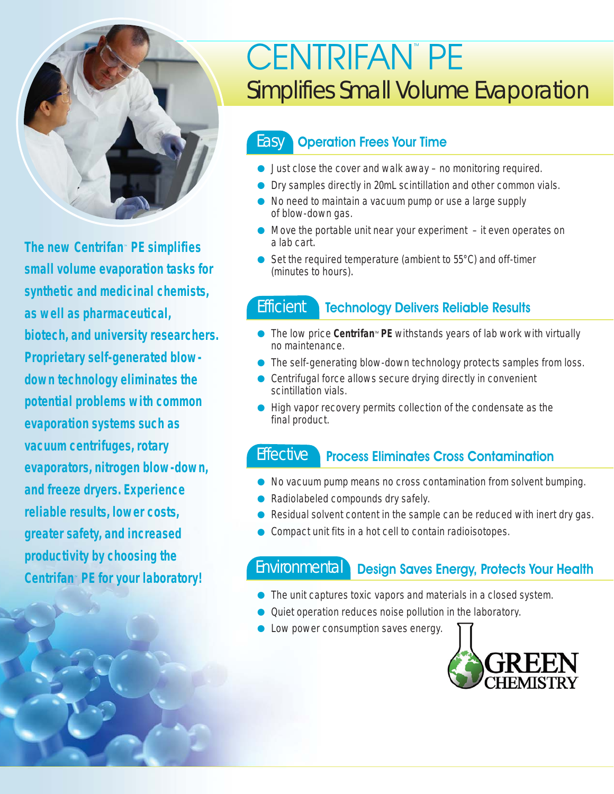

**The new Centrifan**™ **PE simplifies small volume evaporation tasks for synthetic and medicinal chemists, as well as pharmaceutical, biotech, and university researchers. Proprietary self-generated blowdown technology eliminates the potential problems with common evaporation systems such as vacuum centrifuges, rotary evaporators, nitrogen blow-down, and freeze dryers. Experience reliable results, lower costs, greater safety, and increased productivity by choosing the Centrifan**™ **PE for your laboratory!**

# CENTRIFAN™ PE Simplifies Small Volume Evaporation

## **Easy** Operation Frees Your Time

- Just close the cover and walk away no monitoring required.
- Dry samples directly in 20mL scintillation and other common vials.
- No need to maintain a vacuum pump or use a large supply of blow-down gas.
- Move the portable unit near your experiment  $-$  it even operates on a lab cart.
- Set the required temperature (ambient to 55°C) and off-timer (minutes to hours).

## Efficient Technology Delivers Reliable Results

- The low price **Centrifan**™ **PE** withstands years of lab work with virtually no maintenance.
- The self-generating blow-down technology protects samples from loss.
- Centrifugal force allows secure drying directly in convenient scintillation vials.
- High vapor recovery permits collection of the condensate as the final product.

# Effective Process Eliminates Cross Contamination

- No vacuum pump means no cross contamination from solvent bumping.
- Radiolabeled compounds dry safely.
- Residual solvent content in the sample can be reduced with inert dry gas.
- Compact unit fits in a hot cell to contain radioisotopes.

## Environmental Design Saves Energy, Protects Your Health

- The unit captures toxic vapors and materials in a closed system.
- Quiet operation reduces noise pollution in the laboratory.
- Low power consumption saves energy.

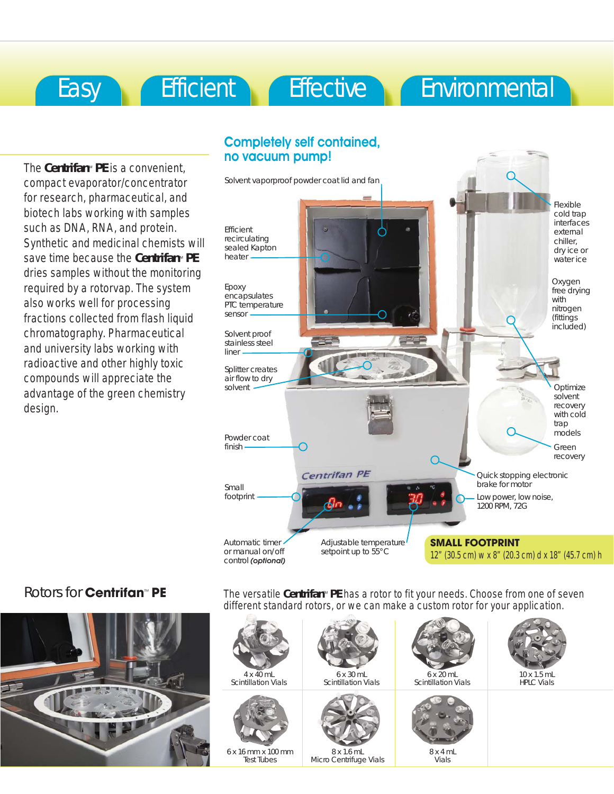# Easy Efficient Effective Environmental

The **Centrifan**™ **PE** is a convenient, compact evaporator/concentrator for research, pharmaceutical, and biotech labs working with samples such as DNA, RNA, and protein. Synthetic and medicinal chemists will save time because the **Centrifan**™ **PE** dries samples without the monitoring required by a rotorvap. The system also works well for processing fractions collected from flash liquid chromatography. Pharmaceutical and university labs working with radioactive and other highly toxic compounds will appreciate the advantage of the green chemistry design.



### Rotors for **Centrifan**™ **PE**



The versatile **Centrifan**™ **PE** has a rotor to fit your needs. Choose from one of seven different standard rotors, or we can make a custom rotor for your application.

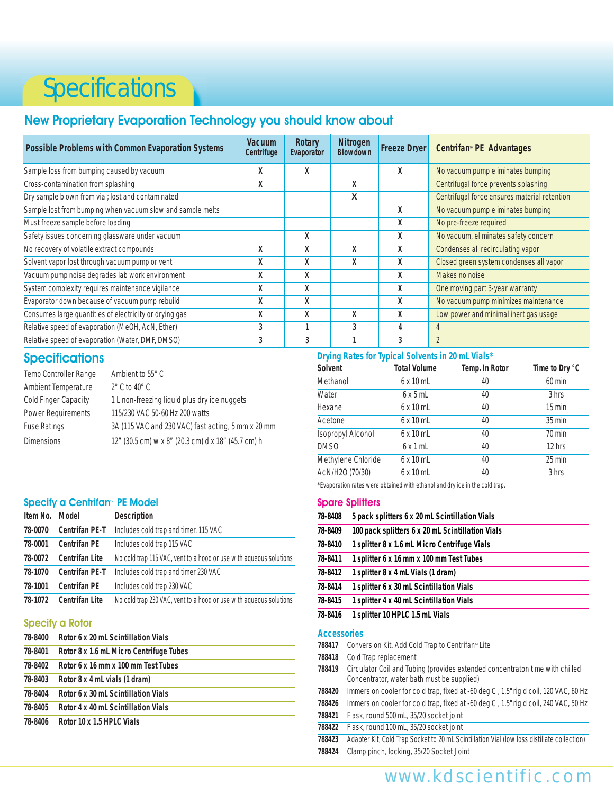# **Specifications**

### New Proprietary Evaporation Technology you should know about

| <b>Possible Problems with Common Evaporation Systems</b>   | <b>Vacuum</b><br>Centrifuge | Rotary<br>Evaporator | <b>Nitrogen</b><br><b>Blowdown</b> | <b>Freeze Dryer</b> | Centrifan <sup>™</sup> PE Advantages         |  |
|------------------------------------------------------------|-----------------------------|----------------------|------------------------------------|---------------------|----------------------------------------------|--|
| Sample loss from bumping caused by vacuum                  | Χ                           | Χ                    |                                    | X                   | No vacuum pump eliminates bumping            |  |
| Cross-contamination from splashing                         | х                           |                      | X                                  |                     | Centrifugal force prevents splashing         |  |
| Dry sample blown from vial; lost and contaminated          |                             |                      | X                                  |                     | Centrifugal force ensures material retention |  |
| Sample lost from bumping when vacuum slow and sample melts |                             |                      |                                    | X                   | No vacuum pump eliminates bumping            |  |
| Must freeze sample before loading                          |                             |                      |                                    | X                   | No pre-freeze required                       |  |
| Safety issues concerning glassware under vacuum            |                             | X                    |                                    | X                   | No vacuum, eliminates safety concern         |  |
| No recovery of volatile extract compounds                  | χ                           | X                    | χ                                  | X                   | Condenses all recirculating vapor            |  |
| Solvent vapor lost through vacuum pump or vent             | X                           | X                    | χ                                  | X                   | Closed green system condenses all vapor      |  |
| Vacuum pump noise degrades lab work environment            | χ                           | X                    |                                    | X                   | Makes no noise                               |  |
| System complexity requires maintenance vigilance           | χ                           | X                    |                                    | X                   | One moving part 3-year warranty              |  |
| Evaporator down because of vacuum pump rebuild             | X                           | X                    |                                    | X                   | No vacuum pump minimizes maintenance         |  |
| Consumes large quantities of electricity or drying gas     | χ                           | X                    | X                                  | X                   | Low power and minimal inert gas usage        |  |
| Relative speed of evaporation (MeOH, AcN, Ether)           | 3                           |                      | 3                                  | 4                   | 4                                            |  |
| Relative speed of evaporation (Water, DMF, DMSO)           | 3                           | 3                    |                                    | 3                   | $\overline{2}$                               |  |

#### **Specifications**

| Temp Controller Range       | Ambient to 55° C                                   |
|-----------------------------|----------------------------------------------------|
| Ambient Temperature         | $2^{\circ}$ C to 40 $^{\circ}$ C                   |
| <b>Cold Finger Capacity</b> | 1 L non-freezing liquid plus dry ice nuggets       |
| Power Requirements          | 115/230 VAC 50-60 Hz 200 watts                     |
| <b>Fuse Ratings</b>         | 3A (115 VAC and 230 VAC) fast acting, 5 mm x 20 mm |
| <b>Dimensions</b>           | 12" (30.5 cm) w x 8" (20.3 cm) d x 18" (45.7 cm) h |

#### Specify a Centrifan™ PE Model

| Item No. | Model                 | <b>Description</b>                                                 |
|----------|-----------------------|--------------------------------------------------------------------|
| 78-0070  | <b>Centrifan PE-T</b> | Includes cold trap and timer, 115 VAC                              |
| 78-0001  | <b>Centrifan PE</b>   | Includes cold trap 115 VAC                                         |
| 78-0072  | <b>Centrifan Lite</b> | No cold trap 115 VAC, vent to a hood or use with agueous solutions |
| 78-1070  | Centrifan PE-T        | Includes cold trap and timer 230 VAC                               |
| 78-1001  | <b>Centrifan PE</b>   | Includes cold trap 230 VAC                                         |
| 78-1072  | <b>Centrifan Lite</b> | No cold trap 230 VAC, vent to a hood or use with aqueous solutions |

#### Specify a Rotor

| 78-8400 | Rotor 6 x 20 mL Scintillation Vials     |
|---------|-----------------------------------------|
| 78-8401 | Rotor 8 x 1.6 mL Micro Centrifuge Tubes |
| 78-8402 | Rotor 6 x 16 mm x 100 mm Test Tubes     |
| 78-8403 | Rotor 8 x 4 mL vials (1 dram)           |
| 78-8404 | Rotor 6 x 30 mL Scintillation Vials     |
| 78-8405 | Rotor 4 x 40 mL Scintillation Vials     |
| 78-8406 | Rotor 10 x 1.5 HPLC Vials               |

#### **Drying Rates for Typical Solvents in 20 mL Vials\***

| Solvent            | <b>Total Volume</b> | Temp. In Rotor | Time to Dry °C   |
|--------------------|---------------------|----------------|------------------|
| Methanol           | $6 \times 10$ mL    | 40             | $60$ min         |
| Water              | 6x5mL               | 40             | 3 hrs            |
| Hexane             | $6 \times 10$ mL    | 40             | $15 \text{ min}$ |
| Acetone            | $6 \times 10$ mL    | 40             | $35 \text{ min}$ |
| Isopropyl Alcohol  | $6 \times 10$ mL    | 40             | $70$ min         |
| DMS <sub>0</sub>   | $6 \times 1$ mL     | 40             | 12 hrs           |
| Methylene Chloride | $6 \times 10$ mL    | 40             | $25$ min         |
| AcN/H2O (70/30)    | $6 \times 10$ mL    | 40             | 3 hrs            |

\*Evaporation rates were obtained with ethanol and dry ice in the cold trap.

#### Spare Splitters

| 700110             | Circulator Coil and Tubing (provides extended concentrator time with chilled |
|--------------------|------------------------------------------------------------------------------|
| 788418             | Cold Trap replacement                                                        |
| 788417             | Conversion Kit, Add Cold Trap to Centrifan <sup>®</sup> Lite                 |
| <b>Accessories</b> |                                                                              |
| 78-8416            | 1 splitter 10 HPLC 1.5 mL Vials                                              |
| 78-8415            | 1 splitter 4 x 40 mL Scintillation Vials                                     |
| 78-8414            | 1 splitter 6 x 30 mL Scintillation Vials                                     |
| 78-8412            | 1 splitter 8 x 4 mL Vials (1 dram)                                           |
| 78-8411            | 1 splitter 6 x 16 mm x 100 mm Test Tubes                                     |
| 78-8410            | 1 splitter 8 x 1.6 mL Micro Centrifuge Vials                                 |
| 78-8409            | 100 pack splitters 6 x 20 mL Scintillation Vials                             |
| 78-8408            | 5 pack splitters 6 x 20 mL Scintillation Vials                               |

- **788419** Circulator Coil and Tubing (provides extended Concentrator, water bath must be supplied)
- **788420** Immersion cooler for cold trap, fixed at -60 deg C , 1.5" rigid coil, 120 VAC, 60 Hz
- **788426** Immersion cooler for cold trap, fixed at -60 deg C , 1.5" rigid coil, 240 VAC, 50 Hz
- **788421** Flask, round 500 mL, 35/20 socket joint
- **788422** Flask, round 100 mL, 35/20 socket joint **788423** Adapter Kit, Cold Trap Socket to 20 mL Scintillation Vial (low loss distillate collection)
- **788424** Clamp pinch, locking, 35/20 Socket Joint

# www.kdscientific.com